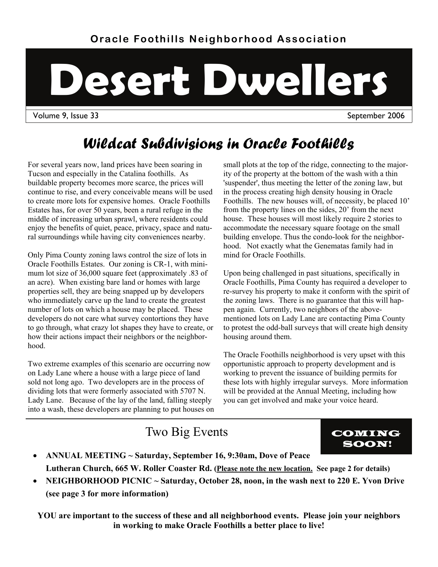# **Desert Dwellers**

Volume 9, Issue 33 September 2006

# *Wildcat Subdivisions in Oracle Foothills*

For several years now, land prices have been soaring in Tucson and especially in the Catalina foothills. As buildable property becomes more scarce, the prices will continue to rise, and every conceivable means will be used to create more lots for expensive homes. Oracle Foothills Estates has, for over 50 years, been a rural refuge in the middle of increasing urban sprawl, where residents could enjoy the benefits of quiet, peace, privacy, space and natural surroundings while having city conveniences nearby.

Only Pima County zoning laws control the size of lots in Oracle Foothills Estates. Our zoning is CR-1, with minimum lot size of 36,000 square feet (approximately .83 of an acre). When existing bare land or homes with large properties sell, they are being snapped up by developers who immediately carve up the land to create the greatest number of lots on which a house may be placed. These developers do not care what survey contortions they have to go through, what crazy lot shapes they have to create, or how their actions impact their neighbors or the neighborhood.

Two extreme examples of this scenario are occurring now on Lady Lane where a house with a large piece of land sold not long ago. Two developers are in the process of dividing lots that were formerly associated with 5707 N. Lady Lane. Because of the lay of the land, falling steeply into a wash, these developers are planning to put houses on small plots at the top of the ridge, connecting to the majority of the property at the bottom of the wash with a thin 'suspender', thus meeting the letter of the zoning law, but in the process creating high density housing in Oracle Foothills. The new houses will, of necessity, be placed 10' from the property lines on the sides, 20' from the next house. These houses will most likely require 2 stories to accommodate the necessary square footage on the small building envelope. Thus the condo-look for the neighborhood. Not exactly what the Genematas family had in mind for Oracle Foothills.

Upon being challenged in past situations, specifically in Oracle Foothills, Pima County has required a developer to re-survey his property to make it conform with the spirit of the zoning laws. There is no guarantee that this will happen again. Currently, two neighbors of the abovementioned lots on Lady Lane are contacting Pima County to protest the odd-ball surveys that will create high density housing around them.

The Oracle Foothills neighborhood is very upset with this opportunistic approach to property development and is working to prevent the issuance of building permits for these lots with highly irregular surveys. More information will be provided at the Annual Meeting, including how you can get involved and make your voice heard.

### Two Big Events COMING



- **ANNUAL MEETING ~ Saturday, September 16, 9:30am, Dove of Peace Lutheran Church, 665 W. Roller Coaster Rd. (Please note the new location. See page 2 for details)**
- NEIGHBORHOOD PICNIC ~ Saturday, October 28, noon, in the wash next to 220 E. Yvon Drive **(see page 3 for more information)**

**YOU are important to the success of these and all neighborhood events. Please join your neighbors in working to make Oracle Foothills a better place to live!**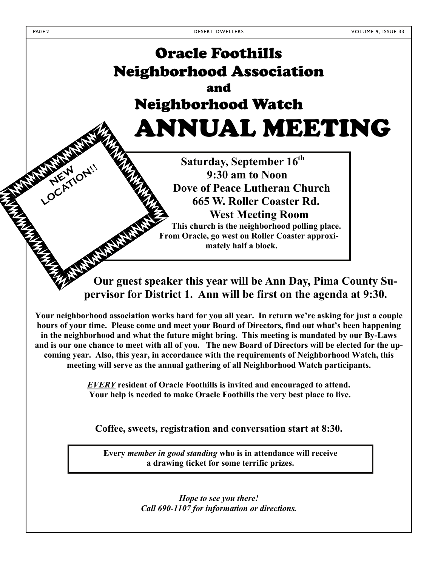**LOCATION!!** 

# Oracle Foothills Neighborhood Association and Neighborhood Watch ANNUAL MEETING

**Saturday, September 16th 9:30 am to Noon Dove of Peace Lutheran Church 665 W. Roller Coaster Rd. West Meeting Room This church is the neighborhood polling place. From Oracle, go west on Roller Coaster approximately half a block.** 

**Our guest speaker this year will be Ann Day, Pima County Supervisor for District 1. Ann will be first on the agenda at 9:30.** 

**Your neighborhood association works hard for you all year. In return we're asking for just a couple hours of your time. Please come and meet your Board of Directors, find out what's been happening in the neighborhood and what the future might bring. This meeting is mandated by our By-Laws and is our one chance to meet with all of you. The new Board of Directors will be elected for the upcoming year. Also, this year, in accordance with the requirements of Neighborhood Watch, this meeting will serve as the annual gathering of all Neighborhood Watch participants.**

> *EVERY* **resident of Oracle Foothills is invited and encouraged to attend. Your help is needed to make Oracle Foothills the very best place to live.**

**Coffee, sweets, registration and conversation start at 8:30.** 

**Every** *member in good standing* **who is in attendance will receive a drawing ticket for some terrific prizes.**

> *Hope to see you there! Call 690-1107 for information or directions.*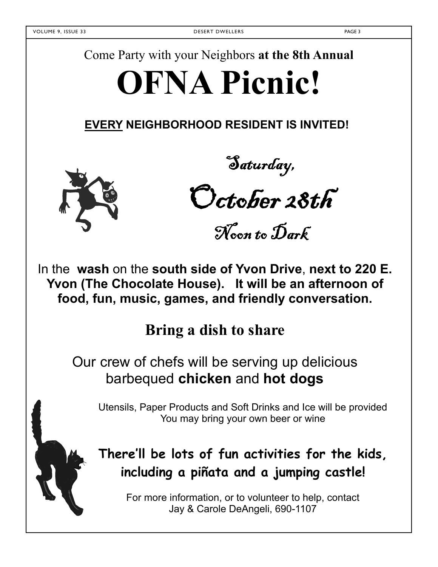Come Party with your Neighbors **at the 8th Annual** 

# **OFNA Picnic!**

**EVERY NEIGHBORHOOD RESIDENT IS INVITED!**



Saturday,

October 28th

Noon to Dark

In the **wash** on the **south side of Yvon Drive**, **next to 220 E. Yvon (The Chocolate House). It will be an afternoon of food, fun, music, games, and friendly conversation.** 

**Bring a dish to share** 

Our crew of chefs will be serving up delicious barbequed **chicken** and **hot dogs**

 Utensils, Paper Products and Soft Drinks and Ice will be provided You may bring your own beer or wine

## **There'll be lots of fun activities for the kids, including a piñata and a jumping castle!**

For more information, or to volunteer to help, contact Jay & Carole DeAngeli, 690-1107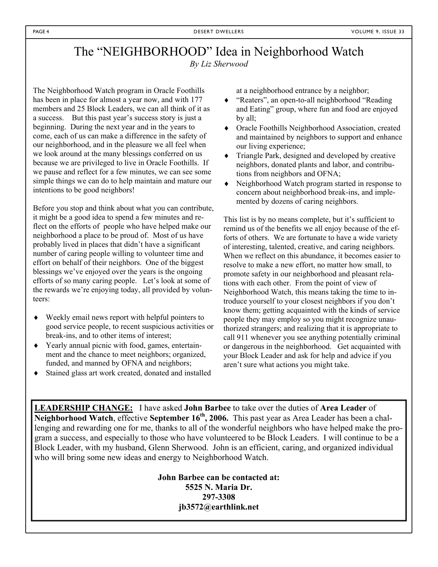#### The "NEIGHBORHOOD" Idea in Neighborhood Watch *By Liz Sherwood*

The Neighborhood Watch program in Oracle Foothills has been in place for almost a year now, and with 177 members and 25 Block Leaders, we can all think of it as a success. But this past year's success story is just a beginning. During the next year and in the years to come, each of us can make a difference in the safety of our neighborhood, and in the pleasure we all feel when we look around at the many blessings conferred on us because we are privileged to live in Oracle Foothills. If we pause and reflect for a few minutes, we can see some simple things we can do to help maintain and mature our intentions to be good neighbors!

Before you stop and think about what you can contribute, it might be a good idea to spend a few minutes and reflect on the efforts of people who have helped make our neighborhood a place to be proud of. Most of us have probably lived in places that didn't have a significant number of caring people willing to volunteer time and effort on behalf of their neighbors. One of the biggest blessings we've enjoyed over the years is the ongoing efforts of so many caring people. Let's look at some of the rewards we're enjoying today, all provided by volunteers:

- Weekly email news report with helpful pointers to good service people, to recent suspicious activities or break-ins, and to other items of interest;
- Yearly annual picnic with food, games, entertainment and the chance to meet neighbors; organized, funded, and manned by OFNA and neighbors;
- Stained glass art work created, donated and installed

at a neighborhood entrance by a neighbor;

- "Reaters", an open-to-all neighborhood "Reading and Eating" group, where fun and food are enjoyed by all;
- Oracle Foothills Neighborhood Association, created and maintained by neighbors to support and enhance our living experience;
- $\bullet$  Triangle Park, designed and developed by creative neighbors, donated plants and labor, and contributions from neighbors and OFNA;
- Neighborhood Watch program started in response to concern about neighborhood break-ins, and implemented by dozens of caring neighbors.

This list is by no means complete, but it's sufficient to remind us of the benefits we all enjoy because of the efforts of others. We are fortunate to have a wide variety of interesting, talented, creative, and caring neighbors. When we reflect on this abundance, it becomes easier to resolve to make a new effort, no matter how small, to promote safety in our neighborhood and pleasant relations with each other. From the point of view of Neighborhood Watch, this means taking the time to introduce yourself to your closest neighbors if you don't know them; getting acquainted with the kinds of service people they may employ so you might recognize unauthorized strangers; and realizing that it is appropriate to call 911 whenever you see anything potentially criminal or dangerous in the neighborhood. Get acquainted with your Block Leader and ask for help and advice if you aren't sure what actions you might take.

**LEADERSHIP CHANGE:** I have asked **John Barbee** to take over the duties of **Area Leader** of **Neighborhood Watch**, effective **September 16th, 2006.** This past year as Area Leader has been a challenging and rewarding one for me, thanks to all of the wonderful neighbors who have helped make the program a success, and especially to those who have volunteered to be Block Leaders. I will continue to be a Block Leader, with my husband, Glenn Sherwood. John is an efficient, caring, and organized individual who will bring some new ideas and energy to Neighborhood Watch.

> **John Barbee can be contacted at: 5525 N. Maria Dr. 297-3308 jb3572@earthlink.net**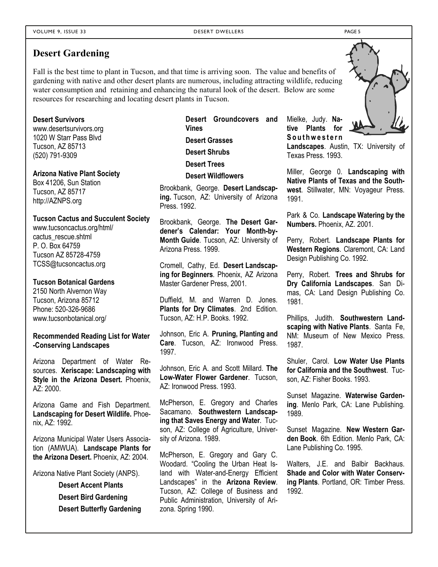#### **Desert Gardening**

Fall is the best time to plant in Tucson, and that time is arriving soon. The value and benefits of gardening with native and other desert plants are numerous, including attracting wildlife, reducing water consumption and retaining and enhancing the natural look of the desert. Below are some resources for researching and locating desert plants in Tucson.

#### **Desert Survivors**

www.desertsurvivors.org 1020 W Starr Pass Blvd Tucson, AZ 85713 (520) 791-9309

#### **Arizona Native Plant Society**

Box 41206, Sun Station Tucson, AZ 85717 http://AZNPS.org

#### **Tucson Cactus and Succulent Society**

www.tucsoncactus.org/html/ cactus\_rescue.shtml P. O. Box 64759 Tucson AZ 85728-4759 TCSS@tucsoncactus.org

#### **Tucson Botanical Gardens**

2150 North Alvernon Way Tucson, Arizona 85712 Phone: 520-326-9686 www.tucsonbotanical.org/

**Recommended Reading List for Water -Conserving Landscapes** 

Arizona Department of Water Resources. **Xeriscape: Landscaping with Style in the Arizona Desert.** Phoenix,  $AZ: 2000$ .

Arizona Game and Fish Department. **Landscaping for Desert Wildlife.** Phoenix, AZ: 1992.

Arizona Municipal Water Users Association (AMWUA). **Landscape Plants for the Arizona Desert.** Phoenix, AZ: 2004.

Arizona Native Plant Society (ANPS).

**Desert Accent Plants Desert Bird Gardening Desert Butterfly Gardening** **Desert Groundcovers and Vines Desert Grasses Desert Shrubs Desert Trees**

**Desert Wildflowers**

Brookbank, George. **Desert Landscaping.** Tucson, AZ: University of Arizona Press. 1992.

Brookbank, George. **The Desert Gardener's Calendar: Your Month-by-Month Guide**. Tucson, AZ: University of Arizona Press. 1999.

Cromell, Cathy, Ed. **Desert Landscaping for Beginners**. Phoenix, AZ Arizona Master Gardener Press, 2001.

Duffield, M. and Warren D. Jones. **Plants for Dry Climates**. 2nd Edition. Tucson, AZ: H.P. Books. 1992.

Johnson, Eric A. **Pruning, Planting and Care**. Tucson, AZ: Ironwood Press. 1997.

Johnson, Eric A. and Scott Millard. **The Low-Water Flower Gardener**. Tucson, AZ: Ironwood Press. 1993.

McPherson, E. Gregory and Charles Sacamano. **Southwestern Landscaping that Saves Energy and Water**. Tucson, AZ: College of Agriculture, University of Arizona. 1989.

McPherson, E. Gregory and Gary C. Woodard. "Cooling the Urban Heat Island with Water-and-Energy Efficient Landscapes" in the **Arizona Review**. Tucson, AZ: College of Business and Public Administration, University of Arizona. Spring 1990.

Mielke, Judy. **Native Plants for**  Southwestern **Landscapes**. Austin, TX: University of Texas Press. 1993.

Miller, George 0. **Landscaping with Native Plants of Texas and the Southwest**. Stillwater, MN: Voyageur Press. 1991.

Park & Co. **Landscape Watering by the Numbers.** Phoenix, AZ. 2001.

Perry, Robert. **Landscape Plants for Western Regions**. Claremont, CA: Land Design Publishing Co. 1992.

Perry, Robert. **Trees and Shrubs for Dry California Landscapes**. San Dimas, CA: Land Design Publishing Co. 1981.

Phillips, Judith. **Southwestern Landscaping with Native Plants**. Santa Fe, NM: Museum of New Mexico Press. 1987.

Shuler, Carol. **Low Water Use Plants for California and the Southwest**. Tucson, AZ: Fisher Books. 1993.

Sunset Magazine. **Waterwise Gardening**. Menlo Park, CA: Lane Publishing. 1989.

Sunset Magazine. **New Western Garden Book**. 6th Edition. Menlo Park, CA: Lane Publishing Co. 1995.

Walters, J.E. and Balbir Backhaus. **Shade and Color with Water Conserving Plants**. Portland, OR: Timber Press. 1992.

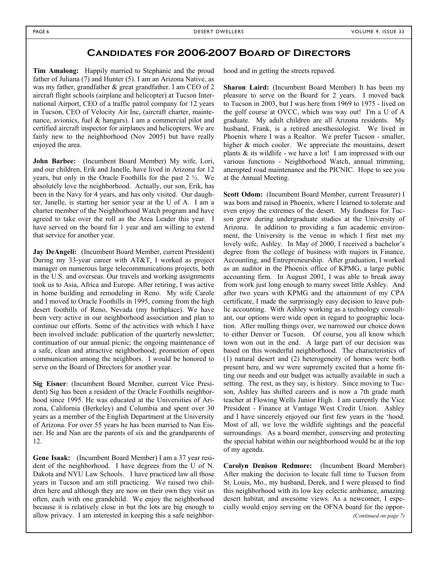#### **Candidates for 2006-2007 Board of Directors**

**Tim Amalong:** Happily married to Stephanie and the proud father of Juliana (7) and Hunter (5). I am an Arizona Native, as was my father, grandfather & great grandfather. I am CEO of 2 aircraft flight schools (airplane and helicopter) at Tucson International Airport, CEO of a traffic patrol company for 12 years in Tucson, CEO of Velocity Air Inc, (aircraft charter, maintenance, avionics, fuel & hangars). I am a commercial pilot and certified aircraft inspector for airplanes and helicopters. We are fairly new to the neighborhood (Nov 2005) but have really enjoyed the area.

**John Barbee:** (Incumbent Board Member) My wife, Lori, and our children, Erik and Janelle, have lived in Arizona for 12 years, but only in the Oracle Foothills for the past 2 ½. We absolutely love the neighborhood. Actually, our son, Erik, has been in the Navy for 4 years, and has only visited. Our daughter, Janelle, is starting her senior year at the U of A. I am a charter member of the Neighborhood Watch program and have agreed to take over the roll as the Area Leader this year. I have served on the board for 1 year and am willing to extend that service for another year.

**Jay DeAngeli:** (Incumbent Board Member, current President) During my 33-year career with AT&T, I worked as project manager on numerous large telecommunications projects, both in the U.S. and overseas. Our travels and working assignments took us to Asia, Africa and Europe. After retiring, I was active in home building and remodeling in Reno. My wife Carole and I moved to Oracle Foothills in 1995, coming from the high desert foothills of Reno, Nevada (my birthplace). We have been very active in our neighborhood association and plan to continue our efforts. Some of the activities with which I have been involved include: publication of the quarterly newsletter; continuation of our annual picnic; the ongoing maintenance of a safe, clean and attractive neighborhood; promotion of open communication among the neighbors. I would be honored to serve on the Board of Directors for another year.

**Sig Eisner**: (Incumbent Board Member, current Vice President) Sig has been a resident of the Oracle Foothills neighborhood since 1995. He was educated at the Universities of Arizona, California (Berkeley) and Columbia and spent over 30 years as a member of the English Department at the University of Arizona. For over 55 years he has been married to Nan Eisner. He and Nan are the parents of six and the grandparents of 12.

**Gene Isaak:** (Incumbent Board Member) I am a 37 year resident of the neighborhood. I have degrees from the U of N. Dakota and NYU Law Schools. I have practiced law all those years in Tucson and am still practicing. We raised two children here and although they are now on their own they visit us often, each with one grandchild. We enjoy the neighborhood because it is relatively close in but the lots are big enough to allow privacy. I am interested in keeping this a safe neighborhood and in getting the streets repaved.

**Sharon Laird:** (Incumbent Board Member) It has been my pleasure to serve on the Board for 2 years. I moved back to Tucson in 2003, but I was here from 1969 to 1975 - lived on the golf course at OVCC, which was way out! I'm a U of A graduate. My adult children are all Arizona residents. My husband, Frank, is a retired anesthesiologist. We lived in Phoenix where I was a Realtor. We prefer Tucson - smaller, higher  $&$  much cooler. We appreciate the mountains, desert plants & its wildlife - we have a lot! I am impressed with our various functions - Neighborhood Watch, annual trimming, attempted road maintenance and the PICNIC. Hope to see you at the Annual Meeting.

**Scott Odom:** (Incumbent Board Member, current Treasurer) I was born and raised in Phoenix, where I learned to tolerate and even enjoy the extremes of the desert. My fondness for Tucson grew during undergraduate studies at the University of Arizona. In addition to providing a fun academic environment, the University is the venue in which I first met my lovely wife, Ashley. In May of 2000, I received a bachelor's degree from the college of business with majors in Finance, Accounting, and Entrepreneurship. After graduation, I worked as an auditor in the Phoenix office of KPMG, a large public accounting firm. In August 2001, I was able to break away from work just long enough to marry sweet little Ashley. And after two years with KPMG and the attainment of my CPA certificate, I made the surprisingly easy decision to leave public accounting. With Ashley working as a technology consultant, our options were wide open in regard to geographic location. After mulling things over, we narrowed our choice down to either Denver or Tucson. Of course, you all know which town won out in the end. A large part of our decision was based on this wonderful neighborhood. The characteristics of (1) natural desert and (2) heterogeneity of homes were both present here, and we were supremely excited that a home fitting our needs and our budget was actually available in such a setting. The rest, as they say, is history. Since moving to Tucson, Ashley has shifted careers and is now a 7th grade math teacher at Flowing Wells Junior High. I am currently the Vice President - Finance at Vantage West Credit Union. Ashley and I have sincerely enjoyed our first few years in the 'hood. Most of all, we love the wildlife sightings and the peaceful surroundings. As a board member, conserving and protecting the special habitat within our neighborhood would be at the top of my agenda.

**Carolyn Denison Redmore:** (Incumbent Board Member) After making the decision to locate full time to Tucson from St. Louis, Mo., my husband, Derek, and I were pleased to find this neighborhood with its low key eclectic ambiance, amazing desert habitat, and awesome views. As a newcomer, I especially would enjoy serving on the OFNA board for the oppor- *(Continued on page 7)*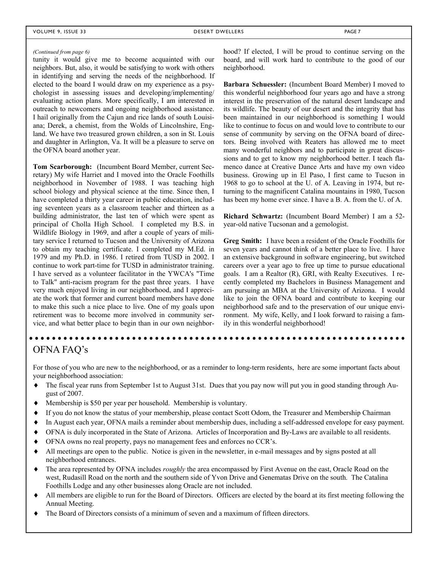#### VOLUME 9, ISSUE 33 DESERT DWELLERS PAGE 7

#### *(Continued from page 6)*

tunity it would give me to become acquainted with our neighbors. But, also, it would be satisfying to work with others in identifying and serving the needs of the neighborhood. If elected to the board I would draw on my experience as a psychologist in assessing issues and developing/implementing/ evaluating action plans. More specifically, I am interested in outreach to newcomers and ongoing neighborhood assistance. I hail originally from the Cajun and rice lands of south Louisiana; Derek, a chemist, from the Wolds of Lincolnshire, England. We have two treasured grown children, a son in St. Louis and daughter in Arlington, Va. It will be a pleasure to serve on the OFNA board another year.

**Tom Scarborough:** (Incumbent Board Member, current Secretary) My wife Harriet and I moved into the Oracle Foothills neighborhood in November of 1988. I was teaching high school biology and physical science at the time. Since then, I have completed a thirty year career in public education, including seventeen years as a classroom teacher and thirteen as a building administrator, the last ten of which were spent as principal of Cholla High School. I completed my B.S. in Wildlife Biology in 1969, and after a couple of years of military service I returned to Tucson and the University of Arizona to obtain my teaching certificate. I completed my M.Ed. in 1979 and my Ph.D. in 1986. I retired from TUSD in 2002. I continue to work part-time for TUSD in administrator training. I have served as a volunteer facilitator in the YWCA's "Time to Talk" anti-racism program for the past three years. I have very much enjoyed living in our neighborhood, and I appreciate the work that former and current board members have done to make this such a nice place to live. One of my goals upon retirement was to become more involved in community service, and what better place to begin than in our own neighborhood? If elected, I will be proud to continue serving on the board, and will work hard to contribute to the good of our neighborhood.

**Barbara Schuessler:** (Incumbent Board Member) I moved to this wonderful neighborhood four years ago and have a strong interest in the preservation of the natural desert landscape and its wildlife. The beauty of our desert and the integrity that has been maintained in our neighborhood is something I would like to continue to focus on and would love to contribute to our sense of community by serving on the OFNA board of directors. Being involved with Reaters has allowed me to meet many wonderful neighbors and to participate in great discussions and to get to know my neighborhood better. I teach flamenco dance at Creative Dance Arts and have my own video business. Growing up in El Paso, I first came to Tucson in 1968 to go to school at the U. of A. Leaving in 1974, but returning to the magnificent Catalina mountains in 1980, Tucson has been my home ever since. I have a B. A. from the U. of A.

**Richard Schwartz:** (Incumbent Board Member) I am a 52 year-old native Tucsonan and a gemologist.

**Greg Smith:** I have been a resident of the Oracle Foothills for seven years and cannot think of a better place to live. I have an extensive background in software engineering, but switched careers over a year ago to free up time to pursue educational goals. I am a Realtor (R), GRI, with Realty Executives. I recently completed my Bachelors in Business Management and am pursuing an MBA at the University of Arizona. I would like to join the OFNA board and contribute to keeping our neighborhood safe and to the preservation of our unique environment. My wife, Kelly, and I look forward to raising a family in this wonderful neighborhood!

#### OFNA FAQ's

For those of you who are new to the neighborhood, or as a reminder to long-term residents, here are some important facts about your neighborhood association:

- The fiscal year runs from September 1st to August 31st. Dues that you pay now will put you in good standing through August of 2007.
- Membership is \$50 per year per household. Membership is voluntary.
- If you do not know the status of your membership, please contact Scott Odom, the Treasurer and Membership Chairman
- In August each year, OFNA mails a reminder about membership dues, including a self-addressed envelope for easy payment.
- OFNA is duly incorporated in the State of Arizona. Articles of Incorporation and By-Laws are available to all residents.
- OFNA owns no real property, pays no management fees and enforces no CCR's.
- All meetings are open to the public. Notice is given in the newsletter, in e-mail messages and by signs posted at all neighborhood entrances.
- The area represented by OFNA includes *roughly* the area encompassed by First Avenue on the east, Oracle Road on the west, Rudasill Road on the north and the southern side of Yvon Drive and Genematas Drive on the south. The Catalina Foothills Lodge and any other businesses along Oracle are not included.
- All members are eligible to run for the Board of Directors. Officers are elected by the board at its first meeting following the Annual Meeting.
- The Board of Directors consists of a minimum of seven and a maximum of fifteen directors.